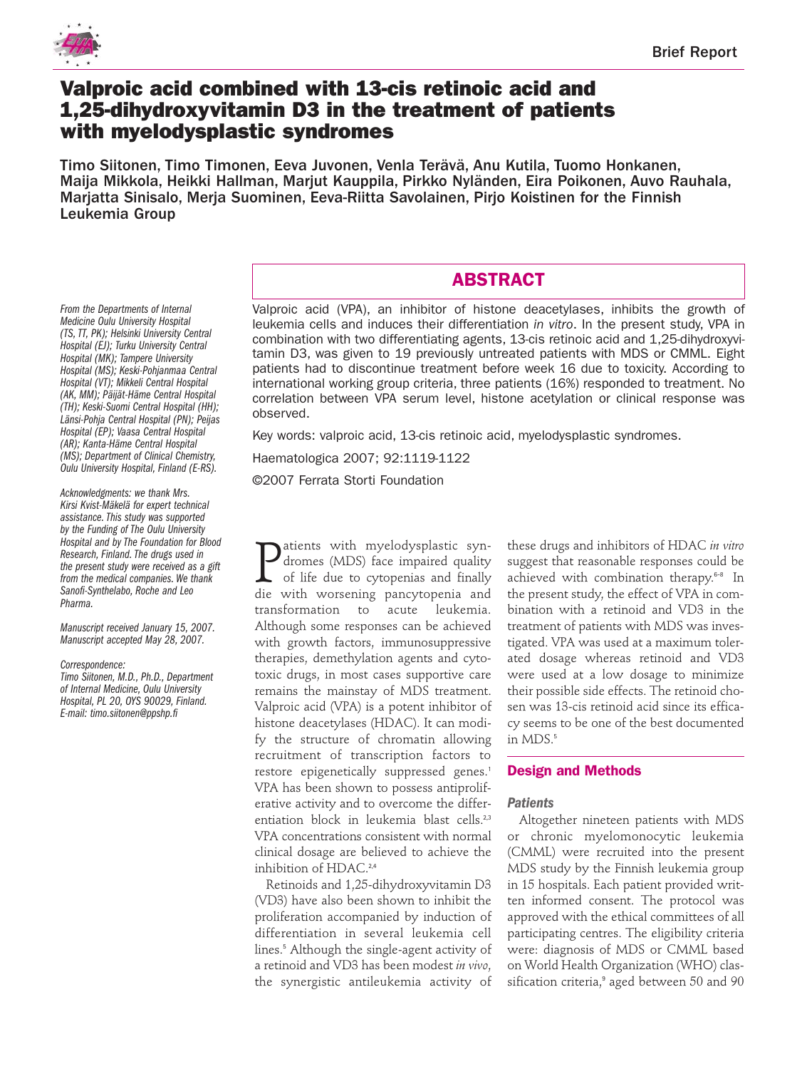

# **Valproic acid combined with 13-cis retinoic acid and 1,25-dihydroxyvitamin D3 in the treatment of patients with myelodysplastic syndromes**

Timo Siitonen, Timo Timonen, Eeva Juvonen, Venla Terävä, Anu Kutila, Tuomo Honkanen, Maija Mikkola, Heikki Hallman, Marjut Kauppila, Pirkko Nyländen, Eira Poikonen, Auvo Rauhala, Marjatta Sinisalo, Merja Suominen, Eeva-Riitta Savolainen, Pirjo Koistinen for the Finnish Leukemia Group

*From the Departments of Internal Medicine Oulu University Hospital (TS, TT, PK); Helsinki University Central Hospital (EJ); Turku University Central Hospital (MK); Tampere University Hospital (MS); Keski-Pohjanmaa Central Hospital (VT); Mikkeli Central Hospital (AK, MM); Päijät-Häme Central Hospital (TH); Keski-Suomi Central Hospital (HH); Länsi-Pohja Central Hospital (PN); Peijas Hospital (EP); Vaasa Central Hospital (AR); Kanta-Häme Central Hospital (MS); Department of Clinical Chemistry, Oulu University Hospital, Finland (E-RS).*

*Acknowledgments: we thank Mrs. Kirsi Kvist-Mäkelä for expert technical assistance. This study was supported by the Funding of The Oulu University Hospital and by The Foundation for Blood Research, Finland. The drugs used in the present study were received as a gift from the medical companies. We thank Sanofi-Synthelabo, Roche and Leo Pharma.*

*Manuscript received January 15, 2007. Manuscript accepted May 28, 2007.*

#### *Correspondence:*

*Timo Siitonen, M.D., Ph.D., Department of Internal Medicine, Oulu University Hospital, PL 20, OYS 90029, Finland. E-mail: timo.siitonen@ppshp.fi*

# **ABSTRACT**

Valproic acid (VPA), an inhibitor of histone deacetylases, inhibits the growth of leukemia cells and induces their differentiation *in vitro*. In the present study, VPA in combination with two differentiating agents, 13-cis retinoic acid and 1,25-dihydroxyvitamin D3, was given to 19 previously untreated patients with MDS or CMML. Eight patients had to discontinue treatment before week 16 due to toxicity. According to international working group criteria, three patients (16%) responded to treatment. No correlation between VPA serum level, histone acetylation or clinical response was observed.

Key words: valproic acid, 13-cis retinoic acid, myelodysplastic syndromes.

Haematologica 2007; 92:1119-1122

©2007 Ferrata Storti Foundation

**P** atients with myelodysplastic syndromes (MDS) face impaired quality of life due to cytopenias and finally die with worsening pancytopenia and atients with myelodysplastic syndromes (MDS) face impaired quality of life due to cytopenias and finally transformation to acute leukemia. Although some responses can be achieved with growth factors, immunosuppressive therapies, demethylation agents and cytotoxic drugs, in most cases supportive care remains the mainstay of MDS treatment. Valproic acid (VPA) is a potent inhibitor of histone deacetylases (HDAC). It can modify the structure of chromatin allowing recruitment of transcription factors to restore epigenetically suppressed genes.<sup>1</sup> VPA has been shown to possess antiproliferative activity and to overcome the differentiation block in leukemia blast cells.<sup>2,3</sup> VPA concentrations consistent with normal clinical dosage are believed to achieve the inhibition of HDAC.<sup>2,4</sup>

Retinoids and 1,25-dihydroxyvitamin D3 (VD3) have also been shown to inhibit the proliferation accompanied by induction of differentiation in several leukemia cell lines.<sup>5</sup> Although the single-agent activity of a retinoid and VD3 has been modest *in vivo*, the synergistic antileukemia activity of

these drugs and inhibitors of HDAC *in vitro* suggest that reasonable responses could be achieved with combination therapy. 6-8 In the present study, the effect of VPA in combination with a retinoid and VD3 in the treatment of patients with MDS was investigated. VPA was used at a maximum tolerated dosage whereas retinoid and VD3 were used at a low dosage to minimize their possible side effects. The retinoid chosen was 13-cis retinoid acid since its efficacy seems to be one of the best documented in MDS.<sup>5</sup>

# **Design and Methods**

# *Patients*

Altogether nineteen patients with MDS or chronic myelomonocytic leukemia (CMML) were recruited into the present MDS study by the Finnish leukemia group in 15 hospitals. Each patient provided written informed consent. The protocol was approved with the ethical committees of all participating centres. The eligibility criteria were: diagnosis of MDS or CMML based on World Health Organization (WHO) classification criteria,<sup>9</sup> aged between 50 and 90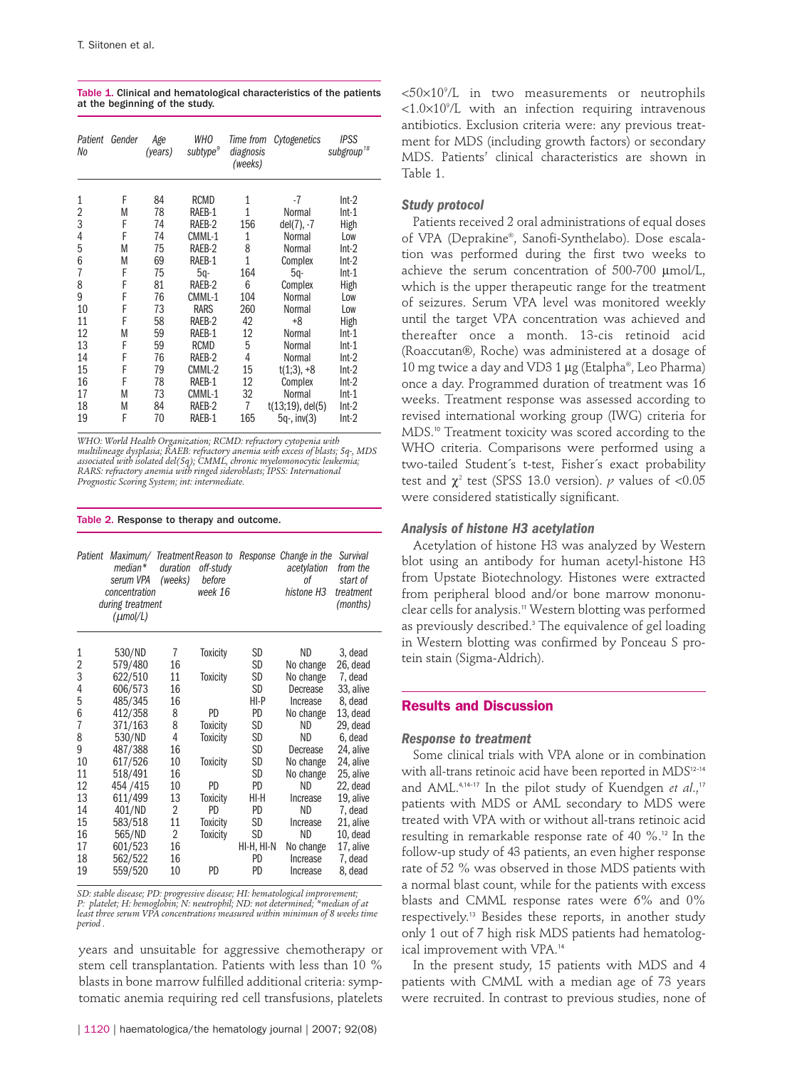Table 1. Clinical and hematological characteristics of the patients at the beginning of the study.

| Patient<br>No  | Gender | Age<br>(years) | WHO<br>subtype <sup>9</sup> | Time from<br>diagnosis<br>(weeks) | Cytogenetics           | <b>IPSS</b><br>subgroup <sup>18</sup> |
|----------------|--------|----------------|-----------------------------|-----------------------------------|------------------------|---------------------------------------|
| 1              | F      | 84             | RCMD                        | 1                                 | -7                     | $Int-2$                               |
| $\overline{2}$ | M      | 78             | RAEB-1                      | 1                                 | Normal                 | $Int-1$                               |
| 3              | F      | 74             | RAEB-2                      | 156                               | del(7), -7             | High                                  |
| 4              | F      | 74             | CMML-1                      | 1                                 | Normal                 | Low                                   |
| 5              | M      | 75             | RAEB-2                      | 8                                 | Normal                 | $Int-2$                               |
| 6              | M      | 69             | RAEB-1                      | 1                                 | Complex                | $Int-2$                               |
| 7              | F      | 75             | $5q-$                       | 164                               | 5q-                    | $Int-1$                               |
| 8              | F      | 81             | RAEB-2                      | 6                                 | Complex                | High                                  |
| 9              | F      | 76             | CMML-1                      | 104                               | Normal                 | Low                                   |
| 10             | F      | 73             | <b>RARS</b>                 | 260                               | Normal                 | Low                                   |
| 11             | F      | 58             | RAEB-2                      | 42                                | $+8$                   | High                                  |
| 12             | М      | 59             | RAEB-1                      | 12                                | Normal                 | $Int-1$                               |
| 13             | F      | 59             | <b>RCMD</b>                 | 5                                 | Normal                 | $Int-1$                               |
| 14             | F      | 76             | RAEB-2                      | 4                                 | Normal                 | $Int-2$                               |
| 15             | F      | 79             | CMML-2                      | 15                                | $t(1;3)$ , +8          | $Int-2$                               |
| 16             | F      | 78             | RAEB-1                      | 12                                | Complex                | $Int-2$                               |
| 17             | M      | 73             | CMML-1                      | 32                                | Normal                 | $Int-1$                               |
| 18             | M      | 84             | RAEB-2                      | 7                                 | $t(13;19)$ , del $(5)$ | $Int-2$                               |
| 19             | F      | 70             | RAEB-1                      | 165                               | 5q-, inv(3)            | $Int-2$                               |

*WHO: World Health Organization; RCMD: refractory cytopenia with* multilineage dysplasia; RAEB: refractory anemia with excess of blasts; 5q-, MDS<br>associated with isolated del(5q); CMML, chronic myelomonocytic leukemia;<br>RARS: refractory anemia with ringed sideroblasts; IPSS: International

#### Table 2. Response to therapy and outcome.

| Patient | Maximum/<br>median*<br>serum VPA<br>concentration<br>during treatment<br>$(\mu$ mol/L) | duration<br>(weeks) | Treatment Reason to<br>off-study<br>before<br>week 16 | Response   | Change in the<br>acetylation<br>оf<br>histone H <sub>3</sub> | Survival<br>from the<br>start of<br>treatment<br>(months) |
|---------|----------------------------------------------------------------------------------------|---------------------|-------------------------------------------------------|------------|--------------------------------------------------------------|-----------------------------------------------------------|
| 1       | 530/ND                                                                                 | 7                   | <b>Toxicity</b>                                       | SD         | ND                                                           | 3, dead                                                   |
| 2       | 579/480                                                                                | 16                  |                                                       | SD         | No change                                                    | 26, dead                                                  |
| 3       | 622/510                                                                                | 11                  | Toxicity                                              | SD         | No change                                                    | 7, dead                                                   |
| 4       | 606/573                                                                                | 16                  |                                                       | SD         | Decrease                                                     | 33, alive                                                 |
| 5       | 485/345                                                                                | 16                  |                                                       | HI-P       | Increase                                                     | 8, dead                                                   |
| 6       | 412/358                                                                                | 8                   | PD                                                    | PD         | No change                                                    | 13, dead                                                  |
| 7       | 371/163                                                                                | 8                   | <b>Toxicity</b>                                       | SD         | ND.                                                          | 29. dead                                                  |
| 8       | 530/ND                                                                                 | 4                   | <b>Toxicity</b>                                       | SD         | ND                                                           | 6, dead                                                   |
| 9       | 487/388                                                                                | 16                  |                                                       | SD         | Decrease                                                     | 24, alive                                                 |
| 10      | 617/526                                                                                | 10                  | <b>Toxicity</b>                                       | SD         | No change                                                    | 24, alive                                                 |
| 11      | 518/491                                                                                | 16                  |                                                       | SD         | No change                                                    | 25, alive                                                 |
| 12      | 454 / 415                                                                              | 10                  | PD                                                    | PD         | ND                                                           | 22, dead                                                  |
| 13      | 611/499                                                                                | 13                  | <b>Toxicity</b>                                       | HI-H       | Increase                                                     | 19, alive                                                 |
| 14      | 401/ND                                                                                 | 2                   | PD.                                                   | <b>PD</b>  | ND                                                           | 7, dead                                                   |
| 15      | 583/518                                                                                | 11                  | <b>Toxicity</b>                                       | SD         | Increase                                                     | 21, alive                                                 |
| 16      | 565/ND                                                                                 | 2                   | <b>Toxicity</b>                                       | SD         | <b>ND</b>                                                    | 10, dead                                                  |
| 17      | 601/523                                                                                | 16                  |                                                       | HI-H, HI-N | No change                                                    | 17, alive                                                 |
| 18      | 562/522                                                                                | 16                  |                                                       | PD         | Increase                                                     | 7, dead                                                   |
| 19      | 559/520                                                                                | 10                  | PD                                                    | PD         | Increase                                                     | 8, dead                                                   |

*SD: stable disease; PD: progressive disease; HI: hematological improvement; P: platelet; H: hemoglobin; N: neutrophil; ND: not determined; \*median of at least three serum VPA concentrations measured within minimun of 8 weeks time period .*

years and unsuitable for aggressive chemotherapy or stem cell transplantation. Patients with less than 10 % blasts in bone marrow fulfilled additional criteria: symptomatic anemia requiring red cell transfusions, platelets

<50×109 /L in two measurements or neutrophils  $\langle 1.0 \times 10^9 \rangle$ L with an infection requiring intravenous antibiotics. Exclusion criteria were: any previous treatment for MDS (including growth factors) or secondary MDS. Patients' clinical characteristics are shown in Table 1.

# *Study protocol*

Patients received 2 oral administrations of equal doses of VPA (Deprakine®, Sanofi-Synthelabo). Dose escalation was performed during the first two weeks to achieve the serum concentration of 500-700 µmol/L, which is the upper therapeutic range for the treatment of seizures. Serum VPA level was monitored weekly until the target VPA concentration was achieved and thereafter once a month. 13-cis retinoid acid (Roaccutan®, Roche) was administered at a dosage of 10 mg twice a day and VD3 1 µg (Etalpha®, Leo Pharma) once a day. Programmed duration of treatment was 16 weeks. Treatment response was assessed according to revised international working group (IWG) criteria for MDS.<sup>10</sup> Treatment toxicity was scored according to the WHO criteria. Comparisons were performed using a two-tailed Student´s t-test, Fisher´s exact probability test and  $\gamma^2$  test (SPSS 13.0 version). *p* values of <0.05 were considered statistically significant.

### *Analysis of histone H3 acetylation*

Acetylation of histone H3 was analyzed by Western blot using an antibody for human acetyl-histone H3 from Upstate Biotechnology. Histones were extracted from peripheral blood and/or bone marrow mononuclear cells for analysis.<sup>11</sup> Western blotting was performed as previously described.<sup>3</sup> The equivalence of gel loading in Western blotting was confirmed by Ponceau S protein stain (Sigma-Aldrich).

# **Results and Discussion**

#### *Response to treatment*

Some clinical trials with VPA alone or in combination with all-trans retinoic acid have been reported in MDS<sup>12-14</sup> and AML.<sup>4,14-17</sup> In the pilot study of Kuendgen et al.,<sup>17</sup> patients with MDS or AML secondary to MDS were treated with VPA with or without all-trans retinoic acid resulting in remarkable response rate of 40 %.<sup>12</sup> In the follow-up study of 43 patients, an even higher response rate of 52 % was observed in those MDS patients with a normal blast count, while for the patients with excess blasts and CMML response rates were 6% and 0% respectively.<sup>13</sup> Besides these reports, in another study only 1 out of 7 high risk MDS patients had hematological improvement with VPA.<sup>14</sup>

In the present study, 15 patients with MDS and 4 patients with CMML with a median age of 73 years were recruited. In contrast to previous studies, none of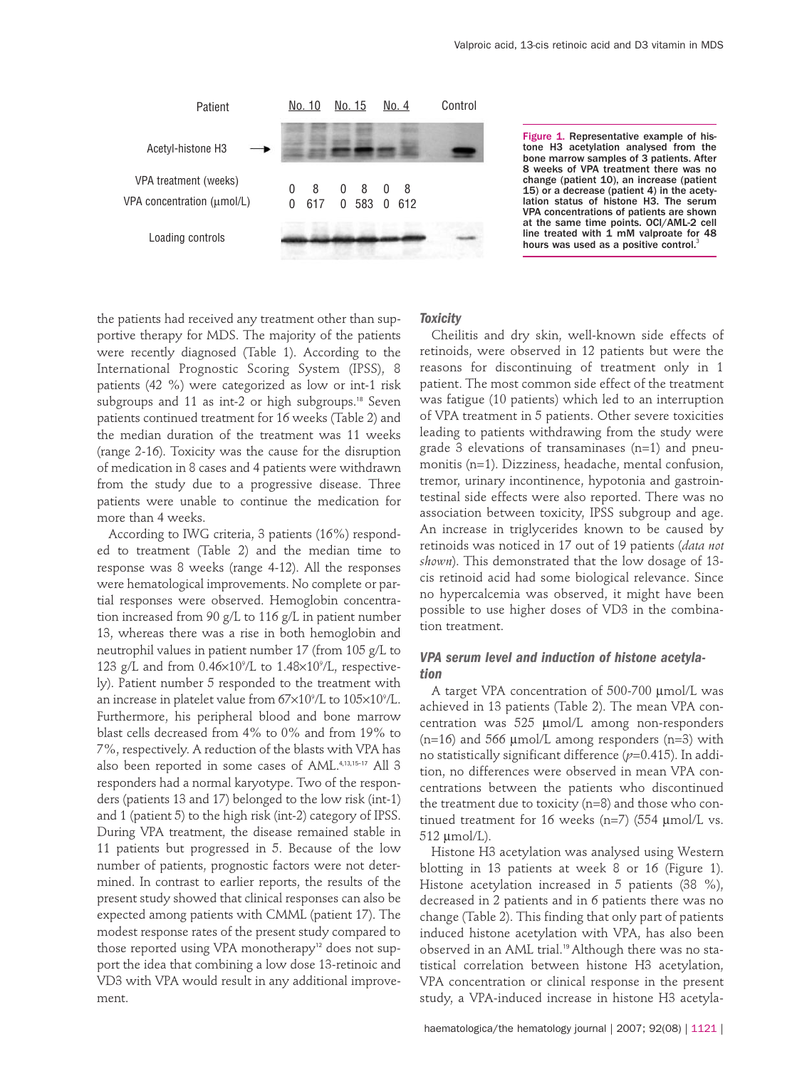

Figure 1. Representative example of histone H3 acetylation analysed from the bone marrow samples of 3 patients. After 8 weeks of VPA treatment there was no change (patient 10), an increase (patient 15) or a decrease (patient 4) in the acetylation status of histone H3. The serum VPA concentrations of patients are shown at the same time points. OCI/AML-2 cell line treated with  $1$  mM valproate for 48 hours was used as a positive control.<sup>3</sup>

the patients had received any treatment other than supportive therapy for MDS. The majority of the patients were recently diagnosed (Table 1). According to the International Prognostic Scoring System (IPSS), 8 patients (42 %) were categorized as low or int-1 risk subgroups and 11 as int-2 or high subgroups.<sup>18</sup> Seven patients continued treatment for 16 weeks (Table 2) and the median duration of the treatment was 11 weeks (range 2-16). Toxicity was the cause for the disruption of medication in 8 cases and 4 patients were withdrawn from the study due to a progressive disease. Three patients were unable to continue the medication for more than 4 weeks.

According to IWG criteria, 3 patients (16%) responded to treatment (Table 2) and the median time to response was 8 weeks (range 4-12). All the responses were hematological improvements. No complete or partial responses were observed. Hemoglobin concentration increased from 90 g/L to 116 g/L in patient number 13, whereas there was a rise in both hemoglobin and neutrophil values in patient number 17 (from 105 g/L to 123 g/L and from  $0.46 \times 10^{9}$ /L to  $1.48 \times 10^{9}$ /L, respectively). Patient number 5 responded to the treatment with an increase in platelet value from 67×109 /L to 105×109 /L. Furthermore, his peripheral blood and bone marrow blast cells decreased from 4% to 0% and from 19% to 7%, respectively. A reduction of the blasts with VPA has also been reported in some cases of AML.4,13,15-17 All 3 responders had a normal karyotype. Two of the responders (patients 13 and 17) belonged to the low risk (int-1) and 1 (patient 5) to the high risk (int-2) category of IPSS. During VPA treatment, the disease remained stable in 11 patients but progressed in 5. Because of the low number of patients, prognostic factors were not determined. In contrast to earlier reports, the results of the present study showed that clinical responses can also be expected among patients with CMML (patient 17). The modest response rates of the present study compared to those reported using VPA monotherapy<sup>12</sup> does not support the idea that combining a low dose 13-retinoic and VD3 with VPA would result in any additional improvement.

# *Toxicity*

Cheilitis and dry skin, well-known side effects of retinoids, were observed in 12 patients but were the reasons for discontinuing of treatment only in 1 patient. The most common side effect of the treatment was fatigue (10 patients) which led to an interruption of VPA treatment in 5 patients. Other severe toxicities leading to patients withdrawing from the study were grade 3 elevations of transaminases (n=1) and pneumonitis (n=1). Dizziness, headache, mental confusion, tremor, urinary incontinence, hypotonia and gastrointestinal side effects were also reported. There was no association between toxicity, IPSS subgroup and age. An increase in triglycerides known to be caused by retinoids was noticed in 17 out of 19 patients (*data not shown*). This demonstrated that the low dosage of 13 cis retinoid acid had some biological relevance. Since no hypercalcemia was observed, it might have been possible to use higher doses of VD3 in the combination treatment.

# *VPA serum level and induction of histone acetylation*

A target VPA concentration of 500-700 µmol/L was achieved in 13 patients (Table 2). The mean VPA concentration was 525 µmol/L among non-responders  $(n=16)$  and 566  $\mu$ mol/L among responders  $(n=3)$  with no statistically significant difference (*p*=0.415). In addition, no differences were observed in mean VPA concentrations between the patients who discontinued the treatment due to toxicity (n=8) and those who continued treatment for 16 weeks (n=7) (554 µmol/L vs. 512 µmol/L).

Histone H3 acetylation was analysed using Western blotting in 13 patients at week 8 or 16 (Figure 1). Histone acetylation increased in 5 patients (38 %), decreased in 2 patients and in 6 patients there was no change (Table 2). This finding that only part of patients induced histone acetylation with VPA, has also been observed in an AML trial.19 Although there was no statistical correlation between histone H3 acetylation, VPA concentration or clinical response in the present study, a VPA-induced increase in histone H3 acetyla